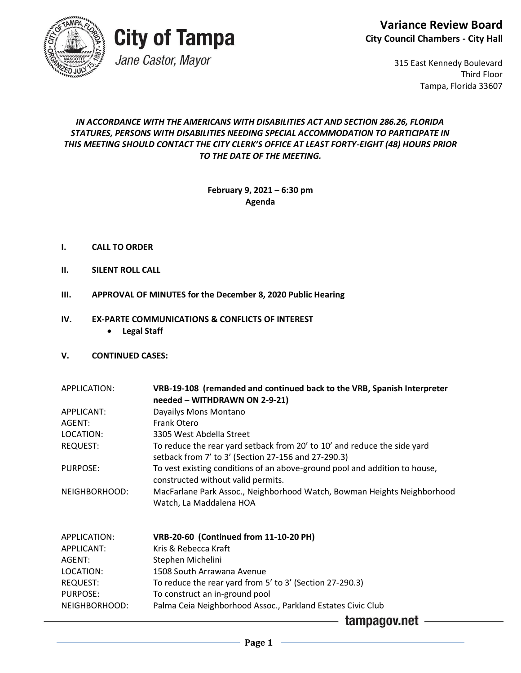



Jane Castor, Mayor

315 East Kennedy Boulevard Third Floor Tampa, Florida 33607

### *IN ACCORDANCE WITH THE AMERICANS WITH DISABILITIES ACT AND SECTION 286.26, FLORIDA STATURES, PERSONS WITH DISABILITIES NEEDING SPECIAL ACCOMMODATION TO PARTICIPATE IN THIS MEETING SHOULD CONTACT THE CITY CLERK'S OFFICE AT LEAST FORTY-EIGHT (48) HOURS PRIOR TO THE DATE OF THE MEETING.*

**February 9, 2021 – 6:30 pm Agenda** 

- **I. CALL TO ORDER**
- **II. SILENT ROLL CALL**
- **III. APPROVAL OF MINUTES for the December 8, 2020 Public Hearing**

#### **IV. EX-PARTE COMMUNICATIONS & CONFLICTS OF INTEREST**

• **Legal Staff**

#### **V. CONTINUED CASES:**

| APPLICATION:      | VRB-19-108 (remanded and continued back to the VRB, Spanish Interpreter<br>needed - WITHDRAWN ON 2-9-21)                        |
|-------------------|---------------------------------------------------------------------------------------------------------------------------------|
| APPLICANT:        | Dayailys Mons Montano                                                                                                           |
| AGENT:            | <b>Frank Otero</b>                                                                                                              |
| LOCATION:         | 3305 West Abdella Street                                                                                                        |
| <b>REQUEST:</b>   | To reduce the rear yard setback from 20' to 10' and reduce the side yard<br>setback from 7' to 3' (Section 27-156 and 27-290.3) |
| PURPOSE:          | To vest existing conditions of an above-ground pool and addition to house,<br>constructed without valid permits.                |
| NEIGHBORHOOD:     | MacFarlane Park Assoc., Neighborhood Watch, Bowman Heights Neighborhood<br>Watch, La Maddalena HOA                              |
| APPLICATION:      | <b>VRB-20-60 (Continued from 11-10-20 PH)</b>                                                                                   |
| <b>APPLICANT:</b> | Kris & Rebecca Kraft                                                                                                            |
| AGENT:            | Stephen Michelini                                                                                                               |
| LOCATION:         | 1508 South Arrawana Avenue                                                                                                      |
| REQUEST:          | To reduce the rear yard from 5' to 3' (Section 27-290.3)                                                                        |
| <b>PURPOSE:</b>   | To construct an in-ground pool                                                                                                  |
| NEIGHBORHOOD:     | Palma Ceia Neighborhood Assoc., Parkland Estates Civic Club                                                                     |
|                   | tamnanov net                                                                                                                    |

tampagov.net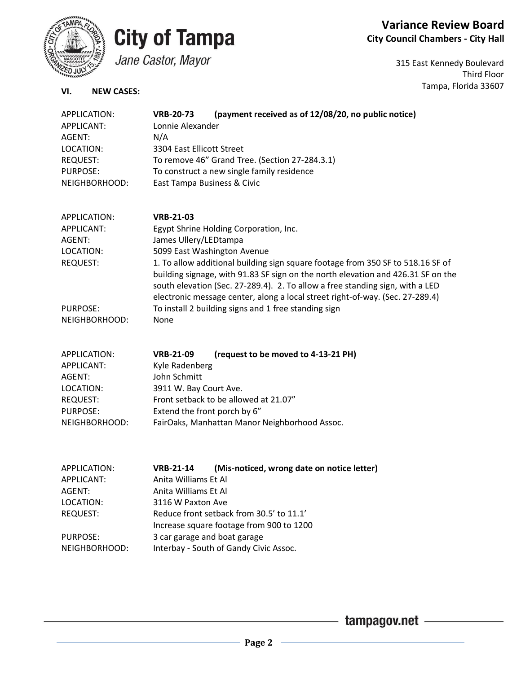

**Variance Review Board City Council Chambers - City Hall**

Jane Castor, Mayor

315 East Kennedy Boulevard Third Floor Tampa, Florida 33607

### **VI. NEW CASES:**

| APPLICATION:<br>APPLICANT: | (payment received as of 12/08/20, no public notice)<br><b>VRB-20-73</b><br>Lonnie Alexander                                                                                                                                                                                                                                           |
|----------------------------|---------------------------------------------------------------------------------------------------------------------------------------------------------------------------------------------------------------------------------------------------------------------------------------------------------------------------------------|
| AGENT:                     | N/A                                                                                                                                                                                                                                                                                                                                   |
| LOCATION:                  | 3304 East Ellicott Street                                                                                                                                                                                                                                                                                                             |
| <b>REQUEST:</b>            | To remove 46" Grand Tree. (Section 27-284.3.1)                                                                                                                                                                                                                                                                                        |
| <b>PURPOSE:</b>            | To construct a new single family residence                                                                                                                                                                                                                                                                                            |
| NEIGHBORHOOD:              | East Tampa Business & Civic                                                                                                                                                                                                                                                                                                           |
| APPLICATION:               | <b>VRB-21-03</b>                                                                                                                                                                                                                                                                                                                      |
| <b>APPLICANT:</b>          | Egypt Shrine Holding Corporation, Inc.                                                                                                                                                                                                                                                                                                |
| AGENT:                     | James Ullery/LEDtampa                                                                                                                                                                                                                                                                                                                 |
| LOCATION:                  | 5099 East Washington Avenue                                                                                                                                                                                                                                                                                                           |
| <b>REQUEST:</b>            | 1. To allow additional building sign square footage from 350 SF to 518.16 SF of<br>building signage, with 91.83 SF sign on the north elevation and 426.31 SF on the<br>south elevation (Sec. 27-289.4). 2. To allow a free standing sign, with a LED<br>electronic message center, along a local street right-of-way. (Sec. 27-289.4) |
| <b>PURPOSE:</b>            | To install 2 building signs and 1 free standing sign                                                                                                                                                                                                                                                                                  |
| NEIGHBORHOOD:              | None                                                                                                                                                                                                                                                                                                                                  |
| APPLICATION:               | <b>VRB-21-09</b><br>(request to be moved to 4-13-21 PH)                                                                                                                                                                                                                                                                               |
| APPLICANT:                 | Kyle Radenberg                                                                                                                                                                                                                                                                                                                        |
| AGENT:                     | John Schmitt                                                                                                                                                                                                                                                                                                                          |
| LOCATION:                  | 3911 W. Bay Court Ave.                                                                                                                                                                                                                                                                                                                |
| <b>REQUEST:</b>            | Front setback to be allowed at 21.07"                                                                                                                                                                                                                                                                                                 |
| PURPOSE:                   | Extend the front porch by 6"                                                                                                                                                                                                                                                                                                          |
| NEIGHBORHOOD:              | FairOaks, Manhattan Manor Neighborhood Assoc.                                                                                                                                                                                                                                                                                         |
|                            |                                                                                                                                                                                                                                                                                                                                       |
| APPLICATION:<br>APPLICANT: | <b>VRB-21-14</b><br>(Mis-noticed, wrong date on notice letter)<br>Anita Williams Et Al                                                                                                                                                                                                                                                |
| AGENT:                     | Anita Williams Et Al                                                                                                                                                                                                                                                                                                                  |
| LOCATION:                  | 3116 W Paxton Ave                                                                                                                                                                                                                                                                                                                     |
| <b>REQUEST:</b>            | Reduce front setback from 30.5' to 11.1'                                                                                                                                                                                                                                                                                              |
|                            |                                                                                                                                                                                                                                                                                                                                       |
|                            | Increase square footage from 900 to 1200                                                                                                                                                                                                                                                                                              |

PURPOSE: 3 car garage and boat garage

NEIGHBORHOOD: Interbay - South of Gandy Civic Assoc.

- tampagov.net -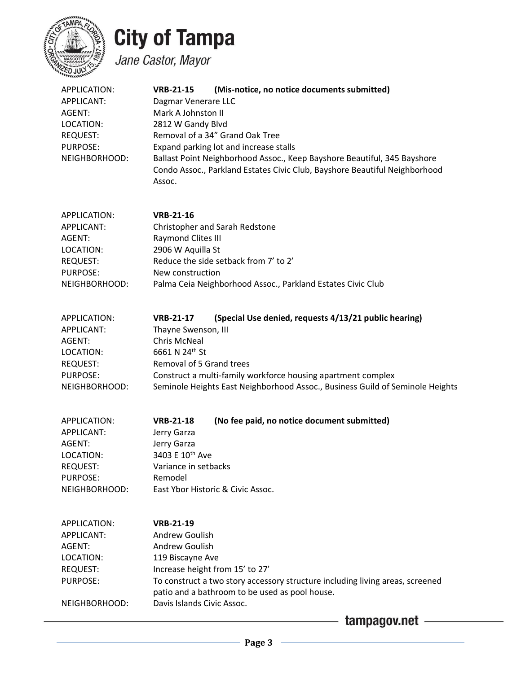

Jane Castor, Mayor

| APPLICATION:<br>APPLICANT:<br>AGENT:<br>LOCATION:<br><b>REQUEST:</b><br>PURPOSE:<br>NEIGHBORHOOD:               | (Mis-notice, no notice documents submitted)<br><b>VRB-21-15</b><br>Dagmar Venerare LLC<br>Mark A Johnston II<br>2812 W Gandy Blvd<br>Removal of a 34" Grand Oak Tree<br>Expand parking lot and increase stalls<br>Ballast Point Neighborhood Assoc., Keep Bayshore Beautiful, 345 Bayshore<br>Condo Assoc., Parkland Estates Civic Club, Bayshore Beautiful Neighborhood<br>Assoc. |
|-----------------------------------------------------------------------------------------------------------------|------------------------------------------------------------------------------------------------------------------------------------------------------------------------------------------------------------------------------------------------------------------------------------------------------------------------------------------------------------------------------------|
| APPLICATION:<br>APPLICANT:<br>AGENT:<br>LOCATION:<br><b>REQUEST:</b><br>PURPOSE:<br>NEIGHBORHOOD:               | <b>VRB-21-16</b><br>Christopher and Sarah Redstone<br>Raymond Clites III<br>2906 W Aquilla St<br>Reduce the side setback from 7' to 2'<br>New construction<br>Palma Ceia Neighborhood Assoc., Parkland Estates Civic Club                                                                                                                                                          |
| APPLICATION:<br><b>APPLICANT:</b><br>AGENT:<br>LOCATION:<br><b>REQUEST:</b><br><b>PURPOSE:</b><br>NEIGHBORHOOD: | (Special Use denied, requests 4/13/21 public hearing)<br><b>VRB-21-17</b><br>Thayne Swenson, III<br><b>Chris McNeal</b><br>6661 N 24th St<br>Removal of 5 Grand trees<br>Construct a multi-family workforce housing apartment complex<br>Seminole Heights East Neighborhood Assoc., Business Guild of Seminole Heights                                                             |
| APPLICATION:<br>APPLICANT:<br>AGENT:<br>LOCATION:<br><b>REQUEST:</b><br><b>PURPOSE:</b><br>NEIGHBORHOOD:        | (No fee paid, no notice document submitted)<br><b>VRB-21-18</b><br>Jerry Garza<br>Jerry Garza<br>3403 E 10th Ave<br>Variance in setbacks<br>Remodel<br>East Ybor Historic & Civic Assoc.                                                                                                                                                                                           |
| APPLICATION:<br><b>APPLICANT:</b><br>AGENT:<br>LOCATION:<br><b>REQUEST:</b><br>PURPOSE:<br>NEIGHBORHOOD:        | <b>VRB-21-19</b><br>Andrew Goulish<br>Andrew Goulish<br>119 Biscayne Ave<br>Increase height from 15' to 27'<br>To construct a two story accessory structure including living areas, screened<br>patio and a bathroom to be used as pool house.<br>Davis Islands Civic Assoc.<br>tampagov.net                                                                                       |

- Page  $3$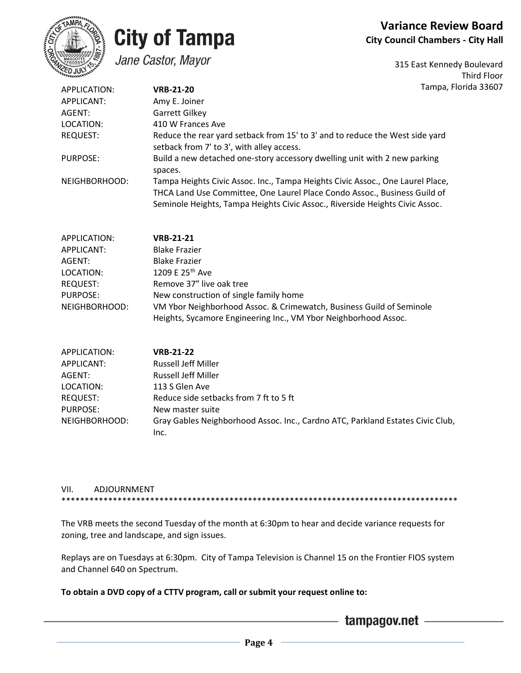

### **City of Tampa** Jane Castor, Mayor

315 East Kennedy Boulevard Third Floor Florida 33607

| APPLICATION:               | <b>VRB-21-20</b>                                                                                                                                                                                                                            | Tampa, I |
|----------------------------|---------------------------------------------------------------------------------------------------------------------------------------------------------------------------------------------------------------------------------------------|----------|
| APPLICANT:                 | Amy E. Joiner                                                                                                                                                                                                                               |          |
| AGENT:                     | Garrett Gilkey                                                                                                                                                                                                                              |          |
| LOCATION:                  | 410 W Frances Ave                                                                                                                                                                                                                           |          |
| <b>REQUEST:</b>            | Reduce the rear yard setback from 15' to 3' and to reduce the West side yard<br>setback from 7' to 3', with alley access.                                                                                                                   |          |
| <b>PURPOSE:</b>            | Build a new detached one-story accessory dwelling unit with 2 new parking<br>spaces.                                                                                                                                                        |          |
| NEIGHBORHOOD:              | Tampa Heights Civic Assoc. Inc., Tampa Heights Civic Assoc., One Laurel Place,<br>THCA Land Use Committee, One Laurel Place Condo Assoc., Business Guild of<br>Seminole Heights, Tampa Heights Civic Assoc., Riverside Heights Civic Assoc. |          |
| APPLICATION:<br>APPLICANT: | <b>VRB-21-21</b><br><b>Blake Frazier</b>                                                                                                                                                                                                    |          |

| AGENT:        | <b>Blake Frazier</b>                                                 |
|---------------|----------------------------------------------------------------------|
| LOCATION:     | 1209 E 25th Ave                                                      |
| REQUEST:      | Remove 37" live oak tree                                             |
| PURPOSE:      | New construction of single family home                               |
| NEIGHBORHOOD: | VM Ybor Neighborhood Assoc. & Crimewatch, Business Guild of Seminole |
|               | Heights, Sycamore Engineering Inc., VM Ybor Neighborhood Assoc.      |

| APPLICATION:  | <b>VRB-21-22</b>                                                               |
|---------------|--------------------------------------------------------------------------------|
| APPLICANT:    | <b>Russell Jeff Miller</b>                                                     |
| AGENT:        | <b>Russell Jeff Miller</b>                                                     |
| LOCATION:     | 113 S Glen Ave                                                                 |
| REQUEST:      | Reduce side setbacks from 7 ft to 5 ft                                         |
| PURPOSE:      | New master suite                                                               |
| NEIGHBORHOOD: | Gray Gables Neighborhood Assoc. Inc., Cardno ATC, Parkland Estates Civic Club, |
|               | Inc.                                                                           |

#### VII. ADJOURNMENT \*\*\*\*\*\*\*\*\*\*\*\*\*\*\*\*\*\*\*\*\*\*\*\*\*\*\*\*\*\*\*\*\*\*\*\*\*\*\*\*\*\*\*\*\*\*\*\*\*\*\*\*\*\*\*\*\*\*\*\*\*\*\*\*\*\*\*\*\*\*\*\*\*\*\*\*\*\*\*\*\*\*\*\*\*

The VRB meets the second Tuesday of the month at 6:30pm to hear and decide variance requests for zoning, tree and landscape, and sign issues.

Replays are on Tuesdays at 6:30pm. City of Tampa Television is Channel 15 on the Frontier FIOS system and Channel 640 on Spectrum.

### **To obtain a DVD copy of a CTTV program, call or submit your request online to:**

- tampagov.net -